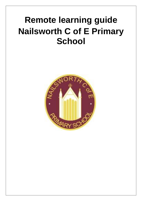# **Remote learning guide Nailsworth C of E Primary School**

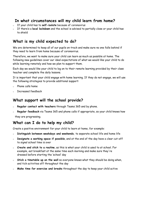#### **In what circumstances will my child learn from home?**

- o If your child has to **self-isolate** because of coronavirus
- o If there's a **local lockdown** and the school is advised to partially close or your child has to shield

### **What is my child expected to do?**

We are determined to keep all of our pupils on-track and make sure no one falls behind if they need to learn from home because of coronavirus.

Therefore, we want to make sure your child can learn as much as possible at home. The following new guidelines cover our ideal expectations of what we would like your child to do while learning remotely and how we plan to support them.

Each day we would like your child to log on to their remote learning provided by their class teacher and complete the daily lessons.

It is important that your child engage with home learning. If they do not engage, we will use the following strategies to provide additional support:

- o Phone calls home
- Increased feedback

#### **What support will the school provide?**

- o **Regular contact with teachers** through Teams 365 and by phone.
- Regular feedback via Teams 365 and phone calls if appropriate, so your child knows how they are progressing.

#### **What can I do to help my child?**

Create a positive environment for your child to learn at home, for example:

- o **Distinguish between weekdays and weekends**, to separate school life and home life
- o **Designate a working space if possible**, and at the end of the day have a clear cut-off to signal school time is over
- o **Create and stick to a routine**, as this is what your child is used to at school. For example, eat breakfast at the same time each morning and make sure they're dressed before starting the 'school' day
- **Stick a timetable up on the wall** so everyone knows what they should be doing when, and tick activities off throughout the day
- o **Make time for exercise and breaks** throughout the day to keep your child active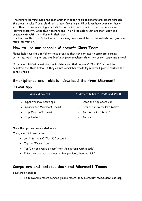The remote learning guide has been written in order to guide parents and carers through the steps to take if your child has to learn from home. All children have been sent home with their username and login details for Microsoft365 teams. This is a secure online learning platform. Using this, teachers and TAs will be able to set and mark work and communicate with the children in their class.

The Nailsworth C of E School Remote Learning policy, available on the website, will give you more information.

## **How to use our school's Microsoft Class Team**

Please help your child to follow these steps so they can continue to complete learning activities, hand them in, and get feedback from teachers while they cannot come into school.

Note: your child will need their login details for their school Office 365 account to complete the steps below. If they cannot remember these login details, please contact the school office.

# **Smartphones and tablets: download the free Microsoft**

#### **Teams app**

| Android devices                                             | iOS devices (iPhones, iPods, and iPads)                    |
|-------------------------------------------------------------|------------------------------------------------------------|
| • Open the Play Store app<br>• Search for 'Microsoft Teams' | • Open the App Store app<br>• Search for 'Microsoft Teams' |
| • Tap 'Microsoft Teams'                                     | • Tap 'Microsoft Teams'                                    |
| • Tap 'Install'                                             | Tap 'Get'<br>$\bullet$                                     |

Once the app has downloaded, open it.

Then, your child needs to:

- Log in to their Office 365 account
- Tap the 'Teams' icon
- Tap 'Join or create a team' then 'Join a team with a code'
- Enter the code that their teacher has provided, then tap 'Join'

# **Computers and laptops: download Microsoft Teams**

Your child needs to:

• Go to [www.microsoft.com/en-gb/microsoft-365/microsoft-teams/download-app](../../../../../My%20Drive/covid/www.microsoft.com/en-gb/microsoft-365/microsoft-teams/download-app)